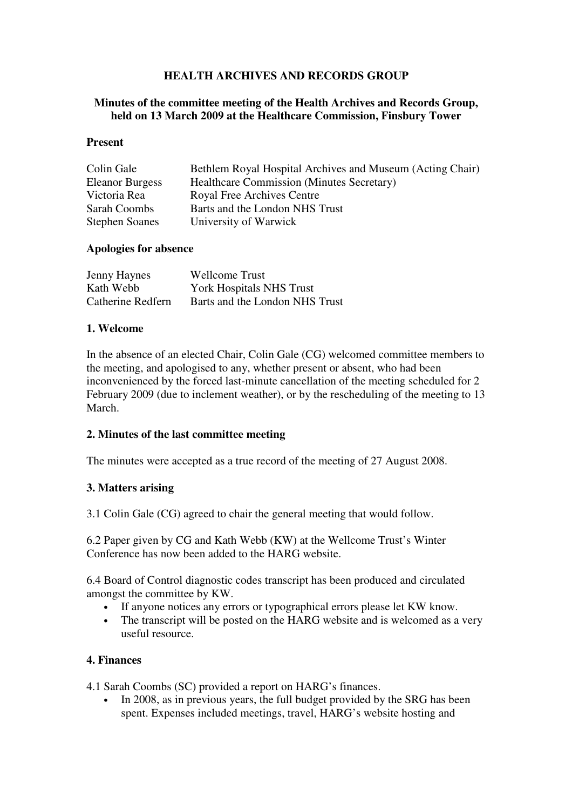# **HEALTH ARCHIVES AND RECORDS GROUP**

#### **Minutes of the committee meeting of the Health Archives and Records Group, held on 13 March 2009 at the Healthcare Commission, Finsbury Tower**

#### **Present**

| Colin Gale             | Bethlem Royal Hospital Archives and Museum (Acting Chair) |
|------------------------|-----------------------------------------------------------|
| <b>Eleanor Burgess</b> | <b>Healthcare Commission (Minutes Secretary)</b>          |
| Victoria Rea           | Royal Free Archives Centre                                |
| Sarah Coombs           | Barts and the London NHS Trust                            |
| <b>Stephen Soanes</b>  | University of Warwick                                     |

#### **Apologies for absence**

| <b>Jenny Haynes</b> | <b>Wellcome Trust</b>          |
|---------------------|--------------------------------|
| Kath Webb           | York Hospitals NHS Trust       |
| Catherine Redfern   | Barts and the London NHS Trust |

#### **1. Welcome**

In the absence of an elected Chair, Colin Gale (CG) welcomed committee members to the meeting, and apologised to any, whether present or absent, who had been inconvenienced by the forced last-minute cancellation of the meeting scheduled for 2 February 2009 (due to inclement weather), or by the rescheduling of the meeting to 13 March.

### **2. Minutes of the last committee meeting**

The minutes were accepted as a true record of the meeting of 27 August 2008.

### **3. Matters arising**

3.1 Colin Gale (CG) agreed to chair the general meeting that would follow.

6.2 Paper given by CG and Kath Webb (KW) at the Wellcome Trust's Winter Conference has now been added to the HARG website.

6.4 Board of Control diagnostic codes transcript has been produced and circulated amongst the committee by KW.

- If anyone notices any errors or typographical errors please let KW know.
- The transcript will be posted on the HARG website and is welcomed as a very useful resource.

### **4. Finances**

4.1 Sarah Coombs (SC) provided a report on HARG's finances.

In 2008, as in previous years, the full budget provided by the SRG has been spent. Expenses included meetings, travel, HARG's website hosting and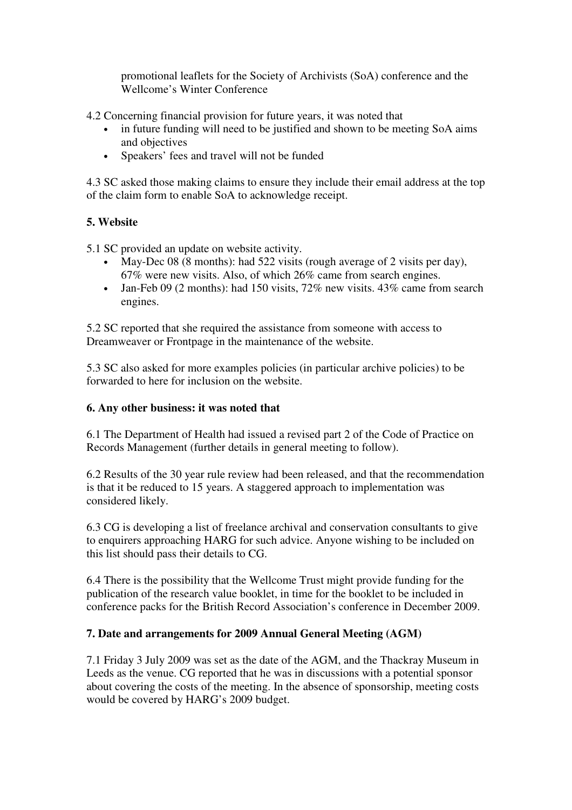promotional leaflets for the Society of Archivists (SoA) conference and the Wellcome's Winter Conference

4.2 Concerning financial provision for future years, it was noted that

- in future funding will need to be justified and shown to be meeting SoA aims and objectives
- Speakers' fees and travel will not be funded

4.3 SC asked those making claims to ensure they include their email address at the top of the claim form to enable SoA to acknowledge receipt.

# **5. Website**

5.1 SC provided an update on website activity.

- May-Dec 08 (8 months): had 522 visits (rough average of 2 visits per day), 67% were new visits. Also, of which 26% came from search engines.
- Jan-Feb 09 (2 months): had 150 visits,  $72\%$  new visits.  $43\%$  came from search engines.

5.2 SC reported that she required the assistance from someone with access to Dreamweaver or Frontpage in the maintenance of the website.

5.3 SC also asked for more examples policies (in particular archive policies) to be forwarded to here for inclusion on the website.

# **6. Any other business: it was noted that**

6.1 The Department of Health had issued a revised part 2 of the Code of Practice on Records Management (further details in general meeting to follow).

6.2 Results of the 30 year rule review had been released, and that the recommendation is that it be reduced to 15 years. A staggered approach to implementation was considered likely.

6.3 CG is developing a list of freelance archival and conservation consultants to give to enquirers approaching HARG for such advice. Anyone wishing to be included on this list should pass their details to CG.

6.4 There is the possibility that the Wellcome Trust might provide funding for the publication of the research value booklet, in time for the booklet to be included in conference packs for the British Record Association's conference in December 2009.

# **7. Date and arrangements for 2009 Annual General Meeting (AGM)**

7.1 Friday 3 July 2009 was set as the date of the AGM, and the Thackray Museum in Leeds as the venue. CG reported that he was in discussions with a potential sponsor about covering the costs of the meeting. In the absence of sponsorship, meeting costs would be covered by HARG's 2009 budget.